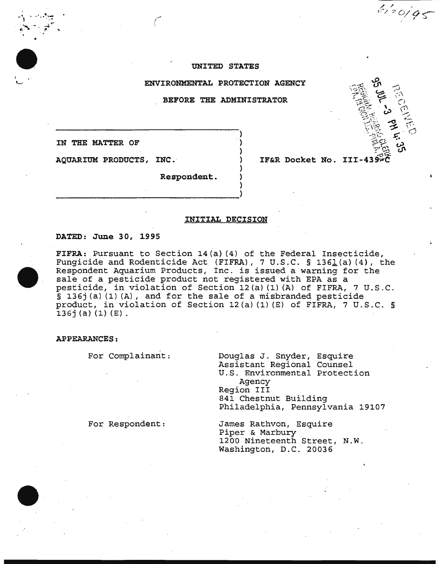#### UNITED STATES

ENVIRONMENTAL PROTECTION AGENCY

BEFORE THE ADMINISTRATOR

)

) ) ) ) )

IN THE MATTER OF

AQUARIUM PRODUCTS, INC. ·

IF&R Docket No.

/ / . \":-/\_ ::' *0/0* ...- • I -~

'

Respondent.

------~------------------------>

#### INITIAL DECISION

#### DATED: June 30, 1995

•

FIFRA: Pursuant to Section 14(a) (4) of the Federal Insecticide, Fungicide and Rodenticide Act (FIFRA), 7 U.S.C. § 1361(a) (4), the ranground and housinessue not (final),  $\frac{1}{2}$  since 3 foot (1), consequent Aquarium Products, Inc. is issued a warning for the sale of a pesticide product not registered with EPA as a pesticide, in violation of Section 12(a) (1) (A) of FIFRA, 7 U.S.C.  $\bar{S}$  136j(a)(1)(A), and for the sale of a misbranded pesticide product, in violation of Section 12(a) (1) (E) of FIFRA, 7 U.S.C. § 136j (a) (1) (E).

APPEARANCES:

For Complainant:

Douglas J. Snyder, Esquire Assistant Regional Counsel U.S. Environmental Protection Agency Region III 841 Chestnut Building Philadelphia, Pennsylvania 19107

For Respondent:

James Rathvon, Esquire Piper & Marbury 1200 Nineteenth Street, N.W. Washington, D.C. 20036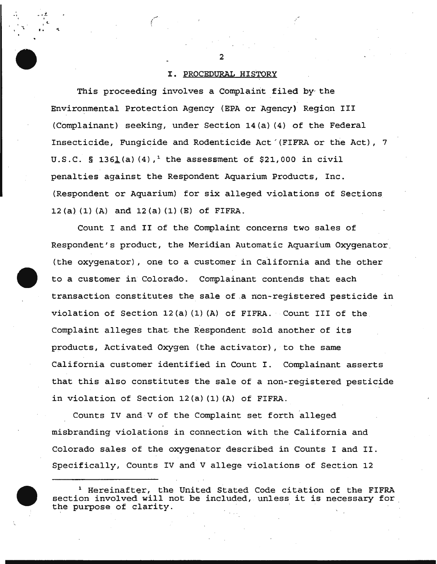# I. PROCEDURAL HISTORY

This proceeding involves a Complaint filed by- the Environmental Protection Agency {EPA or Agency) Region III {Complainant} seeking, under Section 14{a} {4} of the Federal Insecticide, Fungicide and Rodenticide Act'{FIFRA or the Act), 7 U.S.C. § 1361(a)  $(4)$ ,<sup>1</sup> the assessment of \$21,000 in civil penalties against the Respondent Aquarium Products, Inc. {Respondent or Aquarium) for six alleged violations of Sections 12 (a)  $(1)$   $(A)$  and  $12$   $(a)$   $(1)$   $(E)$  of FIFRA.

Count I and II of the Complaint concerns two sales of Respondent's product, the Meridian Automatic Aquarium Oxygenator. {the oxygenator) , one to a customer in California and the other to a customer in Colorado. Complainant contends that each transaction constitutes the sale of ,a non-registered pesticide in violation of Section 12(a)  $(1)$   $(A)$  of FIFRA. Count III of the Complaint alleges that. the Respondent sold another of its products, Activated Oxygen {the activator}, to the same California customer identified in Count I. Complainant asserts that this also constitutes the sale of a non-registered pesticide in violation of Section 12{a) {1) {A) of FIFRA.

Counts IV and v of the Complaint set forth alleged misbranding violations in connection with the California and Colorado sales of the oxygenator described in Counts I and II. Specifically, Counts IV and V allege violations of Section 12



*•.• l..* 

 $\mathbf{r}$ .  $\mathbf{r}$ 

 $\epsilon$  (and the contract of  $\epsilon$ )

.-

<sup>1</sup> Hereinafter, the United Stated Code citation of the FIFRA section involved will not be included, unless it is necessary for the purpose of clarity.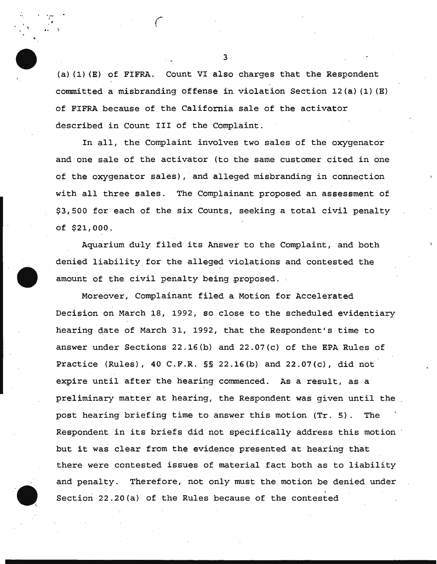(a) (1) (E) of FIFRA. Count VI also charges that the Respondent committed a misbranding offense in violation Section 12(a) (1) (E) of FIFRA because of the California sale of the activator described in Count III of the Complaint.

'·

1

 $\mathcal{F}_{\mathbf{a}}$  ( ... ) and (

In all, the Complaint involves two sales of the oxygenator and one sale of the activator (to the same customer cited in one of the oxygenator sales), and alleged misbranding in connection with all three sales. The Complainant proposed an assessment of \$3,500 for each of the six Counts, seeking a total civil penalty of \$21,000.

Aquarium duly filed its Answer to the Complaint, and both denied liability.for the alleged violations and contested the amount of the civil penalty being proposed.

Moreover, Complainant filed a Motion for Accelerated Decision on March 18, 1992, so close to the scheduled evidentiary hearing date of March 31, 1992, that the Respondent's time to answer under Sections 22.16(b) and 22.07(c) of the EPA Rules of Practice (Rules), 40 C.F.R. §§ 22.16(b) and 22.07(c), did not expire until after the hearing commenced. As a result, as a preliminary matter at hearing, the Respondent was given until the post hearing briefing time to answer this motion (Tr. 5). The Respondent in its briefs did not specifically address this motion but it was clear from the evidence presented at hearing that there were contested issues of material fact both as to liability and penalty. Therefore, not only must the motion be denied under Section 22.20(a) of the Rules because of the contested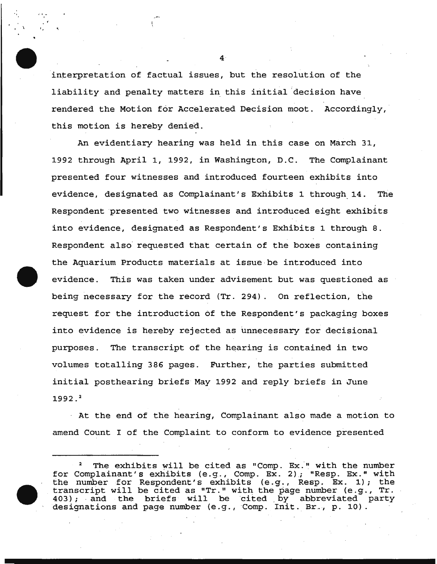interpretation of factual issues, but the resolution of the liability and penalty matters in this initial decision have rendered the Motion for Accelerated Decision moot. Accordingly, this motion is hereby denied.

An evidentiary hearing was held in this case on March 31, 1992 through April 1, 1992, in Washington, D.C. The Complainant presented four witnesses and introduced fourteen exhibits into evidence, designated as Complainant's Exhibits 1 through\_ 14. The Respondent presented two witnesses and introduced eight exhibits into evidence, designated as Respondent's Exhibits 1 through 8. Respondent also requested that certain of the boxes containing the Aquarium Products materials at issue be introduced into evidence. This was taken under advisement but was questioned as being necessary for the record (Tr. 294). On reflection, the request for the introduction of the Respondent's packaging boxes into evidence is hereby rejected as unnecessary for decisional purposes. The transcript of the hearing is contained in two volumes totalling 386 pages. Further, the parties submitted initial posthearing briefs May 1992 and reply briefs in June  $1992.<sup>2</sup>$ 

· At the end of the hearing, Complainant also made a motion to amend Count I of the Complaint to conform to evidence presented

4

, · t - '

 $\mathbf{r}$ 

<sup>&</sup>lt;sup>2</sup> The exhibits will be cited as "Comp. Ex." with the number for Complainant's exhibits (e.g., Comp. Ex. 2); "Resp. Ex." with the number for Respondent's exhibits (e.g., Resp. Ex. 1); the transcript will be cited as "Tr." with the page number (e.g., Tr. 403); and the briefs will be cited by abbreviated party designations and page number (e.g., Comp. Init. Br., p. 10).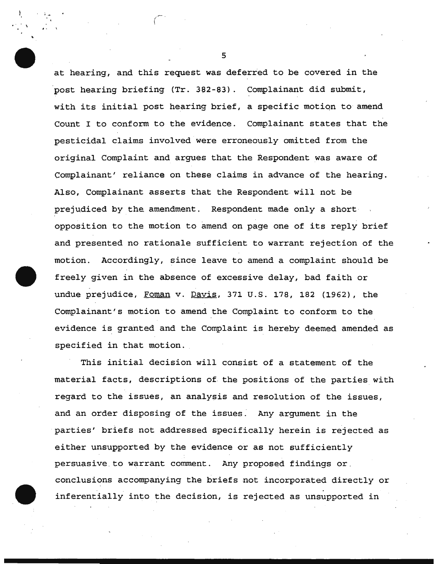at hearing, and this request was deferred to be covered in the post hearing briefing (Tr. 3a2-83). Complainant did submit, with its initial post hearing brief, a specific motion to amend Count I to conform to the evidence. Complainant states that the pesticidal claims involved were erroneously omitted from the original Complaint and argues that the Respondent was aware of Complainant' reliance on these claims in advance of the hearing. Also; Complainant asserts that the Respondent will not be prejudiced by the amendment. Respondent made only a short opposition to the motion to amend on page one of its reply brief and presented no rationale sufficient to warrant rejection of the motion. Accordingly, since leave to amend a complaint should be freely given in the absence of excessive delay, bad faith or undue prejudice, Foman v. Davis, 371 U.S. 178, 182 (1962), the Complainant's motion to amend the Complaint to conform to the evidence is granted and the Complaint is hereby deemed amended as specified in that motion.

This initial decision will consist of a statement of the material facts, descriptions of the positions of the parties with regard to the issues, an analysis and resolution of the issues, and an order disposing of the issues. Any argument in the parties' briefs not addressed specifically herein is rejected as either unsupported by the evidence or as not sufficiently persuasive to warrant comment. Any proposed findings or. conclusions accompanying the briefs not incorporated directly or inferentially into the decision, is rejected as unsupported in

5

) is a set  $\mathbb{R}^n$  $\mathbf{r} = \mathbf{r}$ 

·- *(* \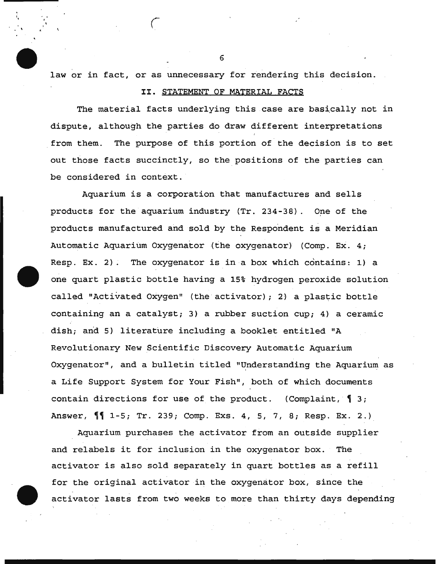law or in fact, or as unnecessary for rendering this decision.

. ' *(* 

# II. STATEMENT OF MATERIAL FACTS

The material facts underlying this case are basically not in dispute, although the parties do draw different interpretations from them. The purpose of this portion of the decision is to set out those facts succinctly, so the positions of the parties can be considered in context.

Aquarium is a corporation that manufactures and sells products for the aquarium industry (Tr. 234-38). One of the products manufactured and sold by the Respondent is a Meridian Automatic Aquarium Oxygenator (the oxygenator) (Comp. Ex. 4; Resp. Ex. 2). The oxygenator is in a box which contains: 1) a one quart plastic bottle having a 15% hydrogen peroxide solution called "Activated Oxygen" (the activator) ; 2) a plastic bottle containing an a catalyst; 3) a rubber suction cup; 4) a ceramic dish; and 5) literature including a booklet entitled "A Revolutionary New Scientific Discovery Automatic Aquarium Oxygenator", and a bulletin titled "Understanding the Aquarium as a Life Support System for Your Fish", both of which documents contain directions for use of the product. (Complaint,  $\int$  3; Answer,  $\P$ <sup>1</sup> 1-5; Tr. 239; Comp. Exs. 4, 5, 7, 8; Resp. Ex. 2.)

Aquarium purchases the activator from an outside supplier and relabels it for inclusion in the oxygenator box. The activator is also sold separately in quart bottles as a refill for the original activator in the oxygenator box, since the activator lasts from two weeks to more than thirty days depending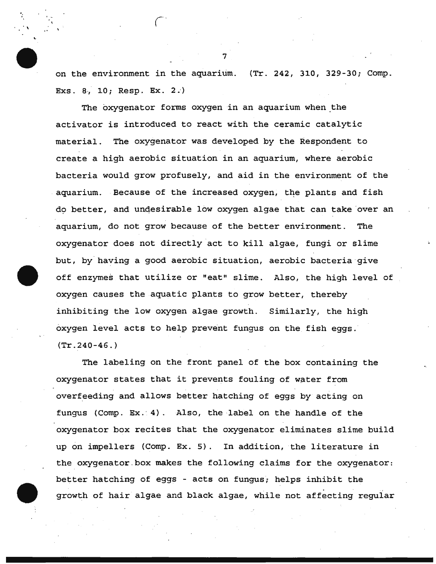on the environment in the aquarium. (Tr. 242, 310, 329-30; Comp. Exs. 8, 10; Resp. Ex. 2.)

The oxygenator forms oxygen in an aquarium when the activator is introduced to react with the ceramic catalytic material. The oxygenator was developed by the Respondent to create a high aerobic situation in an aquarium, where aerobic bacteria would grow profusely, and aid in the environment of the . aquarium. Because of the increased oxygen, the plants and fish do better, and undesirable low oxygen algae that can take over an aquarium, do not grow because of the better environment. The oxygenator does not directly act to kill algae, fungi or slime but, by having a good aerobic situation, aerobic bacteria give off enzymes that utilize or "eat" slime. Also, the high level of oxygen causes the aquatic plants to grow better, thereby inhibiting the low oxygen algae growth. Similarly, the high oxygen level acts to help prevent fungus on the fish eggs. (Tr.240-46.)

The labeling on the front panel of the box containing the oxygenator states that it prevents fouling of water from overfeeding and allows better hatching of eggs by acting on fungus (Comp.  $Ex. 4$ ). Also, the label on the handle of the oxygenator box recites that the oxygenator eliminates slime build up on impellers (Comp. Ex. 5). In addition, the literature in the oxygenator box makes the following claims for the oxygenator: better hatching of eggs - acts on fungus; helps inhibit the growth of hair algae and black algae, while not affecting regular

7

 $\ddot{\phantom{0}}$ ...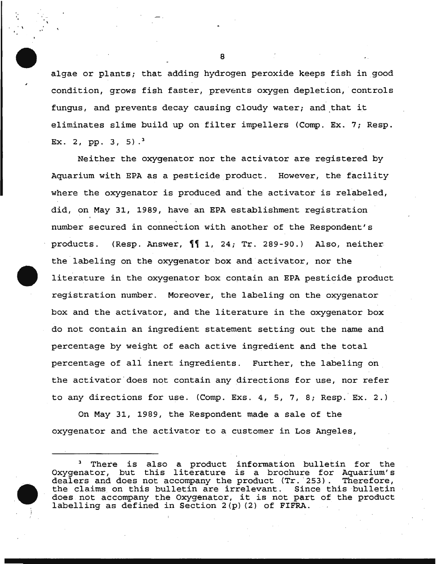algae or plants; that adding hydrogen peroxide keeps fish in good condition, grows fish faster, prevents oxygen depletion, controls fungus, and prevents decay causing cloudy water; and that it eliminates slime build up on filter impellers (Comp. Ex. 7; Resp. Ex. 2, pp. 3, 5).<sup>3</sup>

Neither the oxygenator nor the activator are registered by Aquarium with EPA as a pesticide product. However, the facility where the oxygenator is produced and the activator is relabeled, did, on May 31, 1989, have an EPA establishment registration number secured in connection with another of the Respondent's products. (Resp. Answer,  $\P$  1, 24; Tr. 289-90.) Also, neither the labeling on the oxygenator box and activator, nor the literature in the oxygenator box contain an EPA pesticide product registration number. Moreover, the labeling on the oxygenator box and the activator, and the literature in the oxygenator box do not contain an ingredient statement setting out the name and percentage by weight of each active ingredient and the total percentage of all inert ingredients. Further, the labeling on \_ the activator'does not contain any directions for use, nor refer to any directions for use. (Comp. Exs. 4, 5, 7, 8; Resp. Ex. 2.)

On May 31, 1989, the Respondent made a sale of the oxygenator and the activator to a customer in Los Angeles,

There is also a product information bulletin for the Oxygenator, but this literature is a brochure for Aquarium's dealers and does not accompany the product (Tr. 253). Therefore, dealers and does not accompany the product (Tr. 253). Therefore,<br>the claims on this bulletin are irrelevant. Since this bulletin the claims on this bulletin are irrelevant. does not accompany the Oxygenator, it is not part of the product labelling as defined in Section 2(p) (2) of FIFRA.

8

', ' \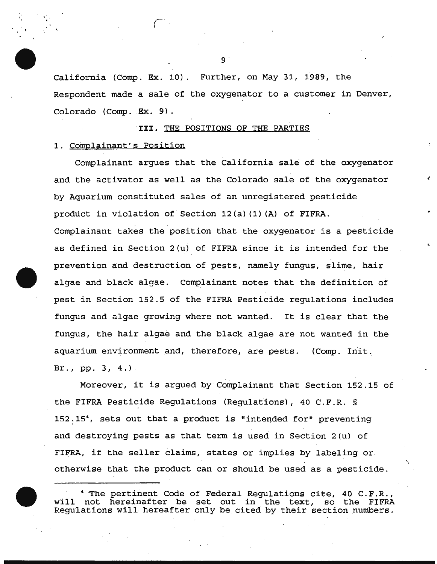California (Camp. Ex. 10). Further, on May 31, 1989, the Respondent made a sale of the oxygenator to a customer in Denver, Colorado (Comp. Ex. 9).

# III. THE POSITIONS OF THE PARTIES

# 1. Complainant's Position

', ' I

> Complainant argues that the California sale of the oxygenator and the activator as well as the Colorado sale of the oxygenator by Aquarium constituted sales· of an unregistered pesticide product in violation of· section 12(a) (1) (A) of FIFRA. Complainant takes the position that the oxygenator is a pesticide as defined in Section 2(u) of FIFRA since it is intended for the prevention and destruction of pests, namely fungus, slime, hair algae and black algae. Complainant notes that the definition of pest in Section 152.5 of the FIFRA Pesticide regulations includes fungus and algae growing where not wanted. It is clear that the fungus, the hair algae and the black algae are not wanted in the aquarium environment and, therefore, are pests. (Comp. Init. Br.,  $pp. 3, 4.$ ).

> Moreover, it is argued by Complainant that Section 152.15 of the FIFRA Pesticide Regulations (Regulations), 40 C.F.R. § 152.15<sup>4</sup>, sets out that a product is "intended for" preventing and destroying pests as that term is used in Section 2(u) of FIFRA, if the seller claims, states or implies by labeling or. otherwise that the product can or should be used as a pesticide.

> The pertinent Code of Federal Regulations cite, 40 C.F.R., not hereinafter be set out in the text, so the FIFRA will not hereinafter be set out in the text, Regulations will hereafter only be cited by their section numbers.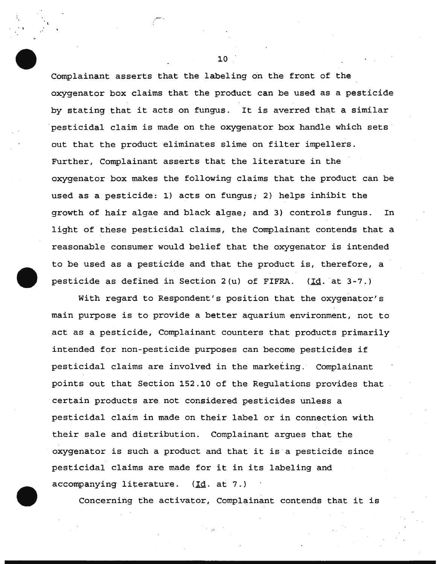Complainant asserts that the labeling on the front of the oxygenator box claims that the product can be used as a pesticide by stating that it acts on fungus. It is averred that a similar pesticidal claim is made on the oxygenator box handle which sets out that the product eliminates slime on filter impellers. Further, Complainant asserts that the literature in the oxygenator box makes the following claims that the product can be used as a pesticide: 1) acts on fungus; 2) helps inhibit the growth of hair algae and black algae; and 3) controls fungus. In light of these pesticidal claims, the Complainant contends that a reasonable consumer would belief that the oxygenator is intended to be used as a pesticide and that the product is, therefore, a pesticide as defined in Section 2(u) of FIFRA. (Id. at 3-7.)

With regard to Respondent's position that the oxygenator's main purpose is to provide a better aquarium environment, not to . act as a pesticide, Complainant counters that products primarily intended for non-pesticide purposes can become pesticides if pesticidal claims are involved in the marketing. Complainant points out that Section 152 . 10 of the Regulations provides that certain products are not considered pesticides unless a pesticidal claim in made on their label or in connection with their sale and distribution. Complainant argues that the oxygenator is such a product and that it is a pesticide since pesticidal claims are made for it in its labeling and  $\alpha$ ccompanying literature. ( $Id.$  at 7.)

Concerning the activator, Complainant contends that it is

10

.--·

 $\ddot{\phantom{0}}$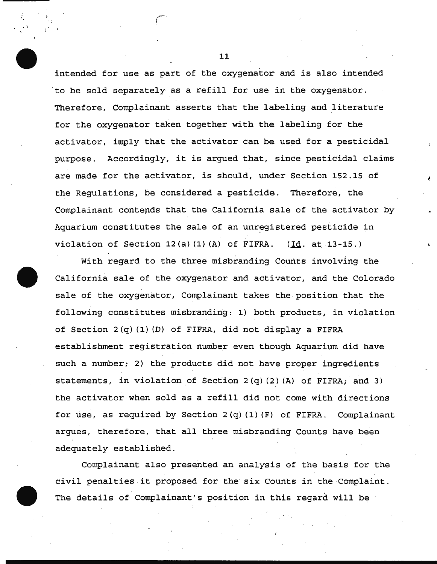intended for use as part of the oxygenator and is also intended 'to be sold separately as a refill for use in the oxygenator. Therefore, Complainant asserts that the labeling and literature for the oxygenator taken together with the labeling for the activator, imply that the activator can be used for a pesticidal purpose. Accordingly, it is argued that, since pesticidal claims are made for the activator, is should, under Section 152.15 of the Regulations, be considered a pesticide. Therefore, the Complainant contepds that the California sale of the activator by Aquarium constitutes the sale of an unregistered pesticide in violation of Section 12(a)(1)(A) of FIFRA. (Id. at 13-15.)

With regard to the three misbranding Counts involving the California sale of the oxygenator and activator, and the Colorado sale of the oxygenator, Complainant takes the position that the following constitutes misbranding: 1) both products, in violation of Section  $2(q)$  (1) (D) of FIFRA, did not display a FIFRA establishment registration number even though Aquarium did have such a number; 2) the products did not have proper ingredients statements, in violation of Section  $2(q)(2)(A)$  of FIFRA; and 3) the activator when sold as a refill did not come with directions for use, as required by Section  $2(q)$  (1) (F) of FIFRA. Complainant argues, therefore, that all three misbranding Counts have been adequately established.

·Complainant also presented an analysis of the basis for the civil penalties it proposed for the six Counts in the Complaint. The details of Complainant's position in this regard will be

11

. '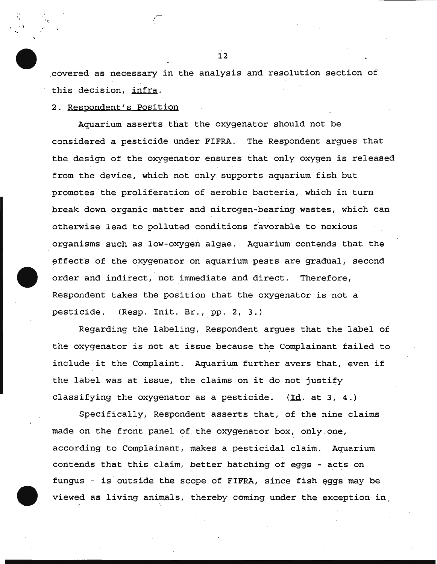covered as necessary in the analysis and resolution section of this decision, infra.

# 2. Respondent's Position

 $\mathbf{r} = \frac{1}{2} \mathbf{r}$ 

Aquarium asserts that the oxygenator should not be considered a pesticide under FIFRA. The Respondent argues that the design of the oxygenator ensures that only oxygen is released from the device, which not only supports aquarium fish but promotes the proliferation of aerobic bacteria, which in turn break down organic matter and nitrogen-bearing wastes, which can otherwise lead to polluted conditions favorable to noxious organisms such as low-oxygen algae. Aquarium contends that the effects of the oxygenator on aquarium pests are gradual, second order and indirect, not immediate and direct. Therefore, Respondent takes the position that the oxygenator is not a pesticide. (Resp. Init. Br., pp. 2, 3.)

Regarding the labeling, Respondent argues that the label of the oxygenator is not at issue because the Complainant failed to include it the Complaint. Aquarium further avers that, even if the label was at issue, the claims on it do not justify classifying the oxygenator as a pesticide.  $(\underline{Id}.)$  at 3, 4.)

Specifically, Respondent asserts that, of the nine claims made on the front panel of.the oxygenator box, only one, according to Complainant, makes a pesticidal claim. Aquarium contends that this claim, better hatching of eggs - acts on fungus - is outside the scope of FIFRA, since fish eggs may be viewed as living animals, thereby coming under the exception in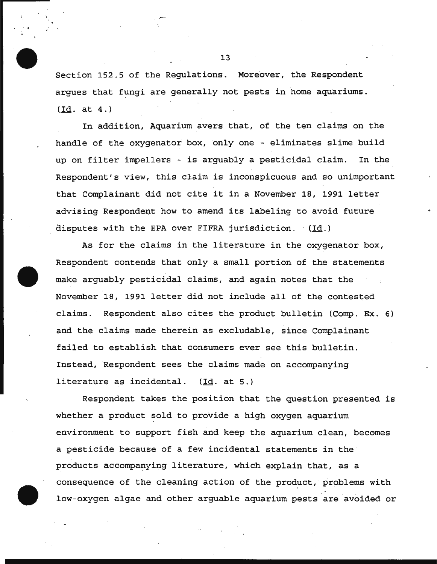Section 152.5 of the Regulations. Moreover, the Respondent argues that fungi are generally not pests in home aquariums. ( Id. at 4.)

. I

In addition, Aquarium avers that, of the ten claims on the handle of the oxygenator box, only one - eliminates slime build up on filter impellers - is arguably a pesticidal claim. In the Respondent's view, this claim is inconspicuous and so unimportant that Complainant did not cite it in a November 18, 1991 letter advising Respondent how to amend its labeling to avoid future disputes with the EPA over FIFRA jurisdiction.  $(Id.)$ 

As for the claims in the literature in the oxygenator box, Respondent contends that only a small portion of the statements make arguably pesticidal claims, and again notes that the November 18, 1991 letter did not include all of the contested claims. Respondent also cites the product bulletin (Comp. Ex. 6) and the claims made therein as excludable, since Complainant failed to establish that consumers ever see this bulletin. Instead, Respondent sees the claims made on accompanying literature as incidental. (Id. at 5.)

Respondent takes the position that the question presented is whether a product sold to provide a high oxygen aquarium environment to support fish and keep the aquarium clean, becomes a pesticide because of a few incidental statements in the products accompanying literature, which explain that, as a consequence of the cleaning action of the product, problems with low-oxygen algae and other arguable aquarium pests are avoided or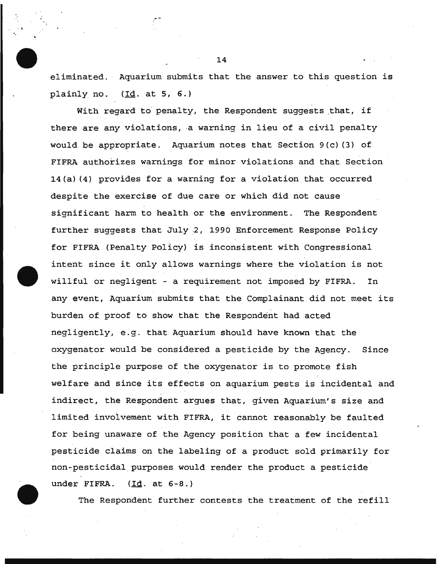eliminated. Aquarium submits that the answer to this question is plainly no. (Id. at 5, 6.)

With regard to penalty, the Respondent suggests that, if there are any violations, a warning in lieu of a civil penalty would be appropriate. Aquarium notes that Section 9(c) (3) of FIFRA authorizes warnings for minor violations. and that Section 14(a) (4) provides for a warning for a violation that occurred despite the exercise of due care or which did not cause significant harm to health or the environment. The Respondent further suggests that July 2, 1990 Enforcement Response Policy for FIFRA (Penalty Policy) is inconsistent with Congressional intent since it only allows warnings where the violation is not willful or negligent - a requirement not imposed by FIFRA. In any event, Aquarium submits that the Complainant did not meet its burden of proof to show that the Respondent had acted negligently, e.g. that Aquarium should have known that the oxygenator would be considered a pesticide by the Agency. Since the principle purpose of the oxygenator is to promote fish welfare and since its effects on aquarium pests is incidental and indirect, the Respondent argues that, given Aquarium's size and limited involvement with FIFRA, it cannot reasonably be faulted for being unaware of the Agency position that a few incidental pesticide claims on the labeling of a product sold primarily for non-pesticidal purposes would render the product a pesticide under FIFRA.  $(\text{Id. at } 6-8.)$ 

The Respondent further contests the treatment of the refill

14

.स. १९<br>स्टब्स्<br>स्टब्स्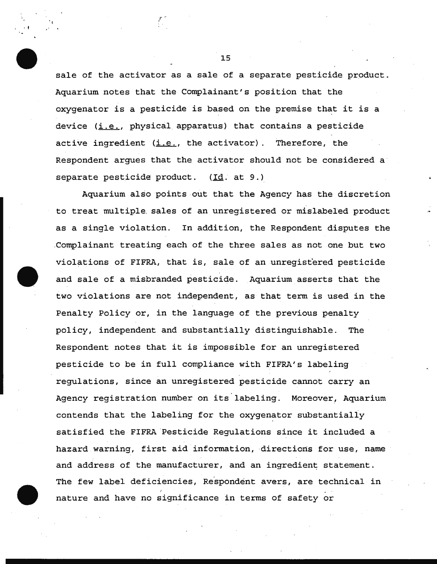sale of the activator as a sale of a separate pesticide product. Aquarium notes that the Complainant's position that the oxygenator is a pesticide is based on the premise that it is a device  $(i.e., physical apparatus)$  that contains a pesticide active ingredient  $(i.e.,$  the activator). Therefore, the Respondent argues that the activator should not be considered a· separate pesticide product.  $(\underline{Id}, at 9.)$ 

Aquarium also points out that the Agency has the discretion to treat multiple. sales of an unregistered or mislabeled product as a single violation. In addition, the Respondent disputes the ,Complainant treating each of the three sales as not one but two violations of FIFRA, that is, sale of an unregistered pesticide and sale of a misbranded pesticide. Aquarium asserts that the two violations are not independent, as that term is used in the Penalty Policy or, in the language of the previous penalty policy, independent and substantially distinguishable. The Respondent notes that it is impossible for an unregistered pesticide to be in full compliance with FIFRA's labeling regulations, since an unregistered pesticide cannot carry an Agency registration number on its labeling. Moreover, Aquarium contends that the labeling for the oxygenator substantially satisfied the FIFRA 'Pesticide Regulations since it included a hazard warning, first aid information, directions for use, name and address of the manufacturer, and an ingredient statement. The few label deficiencies, Respondent avers, are technical in nature and have no significance in terms of safety or

15

r

. t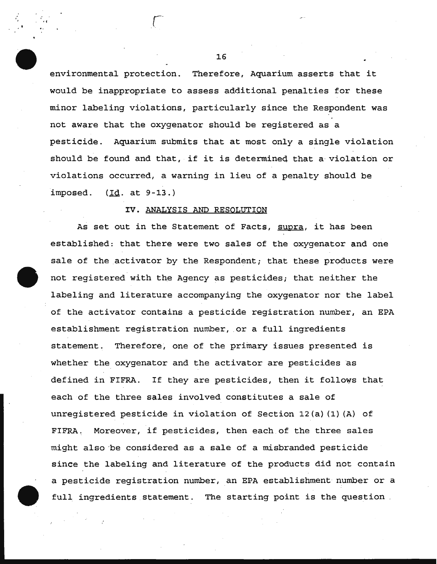environmental protection. Therefore, Aquarium asserts that it would be inappropriate to assess additional penalties for these minor labeling violations, particularly since the Respondent was not aware that the oxygenator should be registered as a pesticide. Aquarium submits that at most only a single violation should be found and that, if it is determineq that a violation or violations occurred, a warning in lieu of a penalty should be imposed. (Id. at 9-13.)

### IV. ANALYSIS AND RESOLUTION

As set out in the Statement of Facts, supra, it has been established: that there were two sales of the oxygenator and one sale of the activator by the Respondent; that these products were not registered with the Agency as pesticides; that neither the labeling and literature accompanying the oxygenator nor the label of the activator contains a pesticide registration number, an EPA establishment registration number, or a full ingredients statement. Therefore, one of the primary issues presented is whether the oxygenator and the activator are pesticides as defined in FIFRA. If they are pesticides, then it follows that each of the three sales involved constitutes a sale of unregistered pesticide in violation of Section 12(a) (1) (A) of FIFRA. Moreover, if pesticides, then each of the three sales might also ·be considered as a sale of a misbranded pesticide since the labeling and literature of the products did not contain a pesticide registration number, an EPA establishment number or a full ingredients statement. The starting point is the question

16

', ..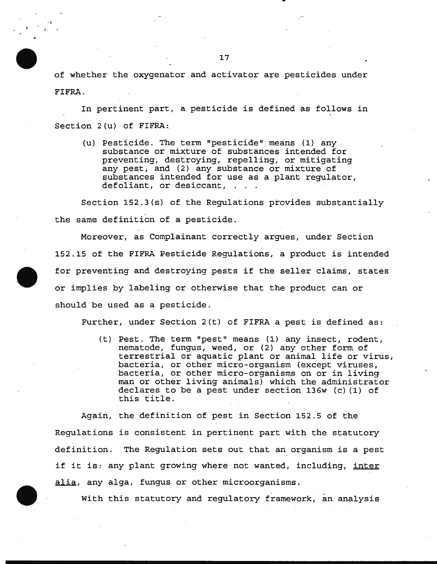of whether the oxygenator and activator are pesticides under FIFRA.

In pertinent part, a pesticide is defined as follows in Section 2(u) of FIFRA:

(u) Pesticide. The term "pesticide" means (1) any substance or mixture of substances intended for preventing, destroying, repelling, or mitigating any pest; and (2) any substance or mixture of substances intended for use as a plant regulator, defoliant, or desiccant,

Section 152.3(s) of the Regulations provides substantially the same definition of a pesticide.

Moreover, as Complainant correctly argues, under Section 152.15 of the FIFRA Pesticide Regulations, a product is intended for preventing and destroying pests if the seller claims, states or implies by labeling or otherwise that the product can or should be used as a pesticide.

Further, under Section 2(t) of FIFRA a pest is defined as:

(t) Pest. The term "pest" means (1) any insect, rodent, nematode, fungus, weed, or (2) any other form of terrestrial or aquatic plant or animal life or virus, bacteria, or other micro-organism (except viruses, bacteria, or other micro-organisms on or in living man or other living animals) which the administrator declares to be a pest under section 136w (c) (1) of this title.

Again, the definition of pest in Section 152.5 of the Regulations is consistent in pertinent part with the statutory definition. The Regulation sets out that an organism is a pest if it is: any plant growing where not wanted, including, inter alia, any alga, fungus or other microorganisms.

With this statutory and regulatory framework, an analysis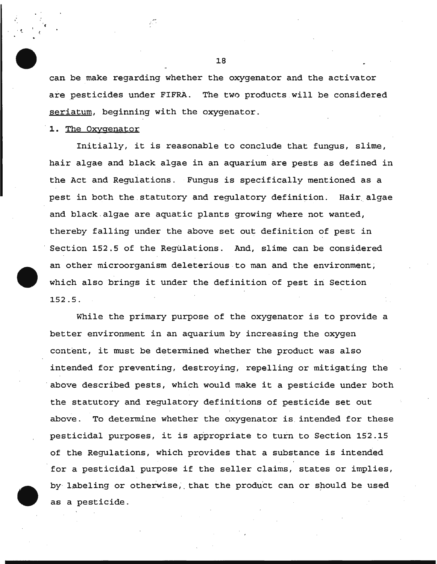can be make regarding whether the oxygenator and the activator are pesticides under FIFRA. The two products will be considered seriatum, beginning with the oxygenator.

1. The Oxygenator

· t

Initially, it is reasonable to conclude that fungus, slime, hair algae and black algae in an aquarium are pests as defined in the Act and Regulations. Fungus is specifically mentioned as a pest in both the.statutory and regulatory definition. Hair.algae and black . algae are aquatic plants growing where not wanted, thereby falling under the above set out definition of pest in Section 152.5 of the Regulations. And, slime can be considered an other microorganism deleterious to man and the environment; which also brings it under the definition of pest in Section 152.5.

While the primary purpose of the oxygenator is to provide a better environment in an aquarium by increasing the oxygen content, it must be determined whether the product was also intended for preventing, destroying, repelling or mitigating the above described pests, which would make it a pesticide under both the statutory and regulatory definitions of pesticide set out above. To determine whether the oxygenator is intended for these pesticidal purposes, it is appropriate to turn to Section 152.15 of the Regulations, which provides that a substance is intended for a pesticidal purpose if the seller claims, states or implies, by labeling or otherwise, that the product can or should be used as a pesticide.

18

ИĨ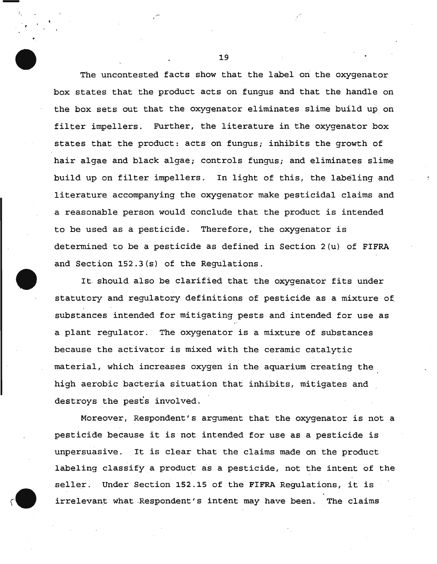The uncontested facts show that the label on the oxygenator box states that the product acts on fungus and that the handle on the box sets out that the oxygenator eliminates slime build up on filter impellers. Further, the literature in the oxygenator box states that the product: acts on fungus; inhibits the growth of hair algae and black algae; controls fungus; and eliminates slime build up on filter impellers. In light of this, the labeling and literature accompanying the oxygenator make pesticidal claims and a reasonable person would conclude that the product is intended to be used as a pesticide. Therefore, the oxygenator is determined to be a pesticide as defined in Section 2(u) of FIFRA and Section 152.3(s) of the Regulations.

It. should also be clarified that the oxygenator fits under statutory and regulatory definitions of pesticide as a mixture of, substances intended for mitigating pests and intended for use as a plant regulator. The oxygenator is a mixture of substances because the activator is mixed with the ceramic catalytic material, which increases oxygen in the aquarium creating the high aerobic bacteria situation that inhibits, mitigates and destroys the pests involved.

Moreover, Respondent's argument that the oxygenator is not a pesticide because it is not intended for use as a pesticide is unpersuasive. It is clear that the claims made on the product labeling classify a product as a pesticide, not the intent of the seller. Under Section 152.15 of the FIFRA Regulations, it is irrelevant what -Respondent's intent may have been. The claims

19

-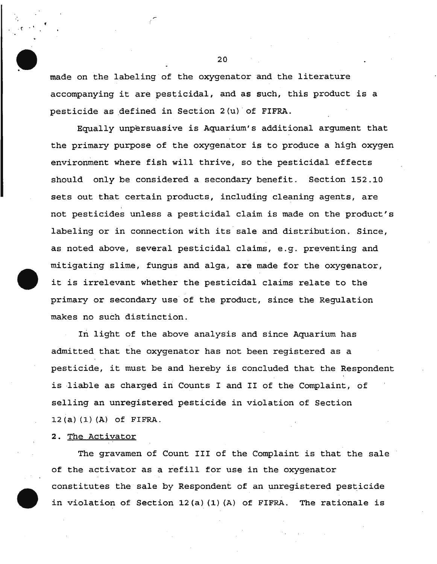made on the labeling of the oxygenator and the literature accompanying it are pesticidal, and as such, this product is a pesticide as defined in Section  $2(u)$  of FIFRA.

Equally unpersuasive is Aquarium's additional argument that the primary purpose of the oxygenator is to produce a high oxygen environment where fish will thrive, so the pesticidal effects should only be considered a secondary benefit. Section 152.10 sets out that certain products, including cleaning agents, are ' not pesticides unless a pesticidal claim is made on the product's labeling or in connection with its sale and distribution. Since, as noted above, several pesticidal claims, e.g. preventing and mitigating slime, fungus and alga, are made for the oxygenator, it is irrelevant whether the pesticidal claims relate to the primary or secondary use of the product, since the Regulation makes no such distinction.

In light of the above analysis and since Aquarium has admitted that the oxygenator has not been registered as a pesticide, it must be and hereby is concluded that the Respondent is liable as charged in Counts I and II of the Complaint, of selling an unregistered pesticide in violation of Section 12(a) (1) (A) of FIFRA.

#### 2. The Activator

 $\mathcal{L}$ 

The gravamen of Count III of the Complaint is that the sale of the activator as a refill for use in the oxygenator constitutes the sale by Respondent of an unregistered pesticide in violation of Section 12(a) (1) (A) of FIFRA. The rationale is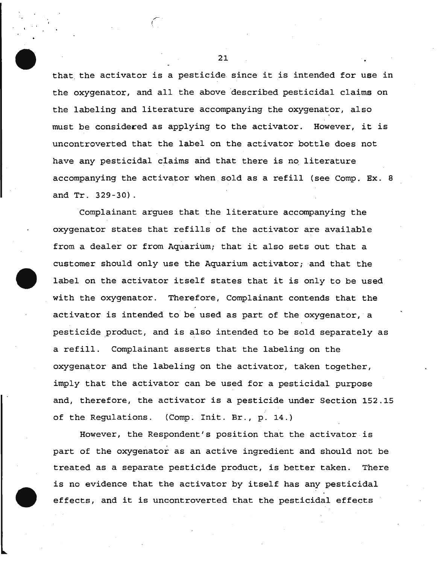that the activator is a pesticide since it is intended for use in the oxygenator, and all the above described pesticidal claims on the labeling and literature accompanying the oxygenator, also must be considered as applying to the activator. However, it is uncontroverted that the label on the activator bottle does not have any pesticidal claims and that there is no literature accompanying the activator when sold as a refill (see Comp. Ex. 8 and Tr. 329-30).

Complainant argues that the literature accompanying the oxygenator states that refills of the activator are available from a dealer or from Aquarium; that it also sets out that a customer should only use the Aquarium activator; and that the label on the activator itself states that it is only to be used with the oxygenator. Therefore, Complainant contends that the activator is intended to be used as part of the oxygenator, a pesticide product, and is also intended to be sold separately as a refill. Complainant asserts that the labeling on the oxygenator and the labeling on the activator, taken together, imply that the activator can be used for a pesticidal purpose and, therefore, the activator is a pesticide under Section 152.15 of the Regulations. (Comp. Init. Br., p. 14.)

However, the Respondent's positiop that the activator is part of the oxygenator as an active ingredient and should not be treated as a separate pesticide product, is better taken. There is no evidence that the activator by itself has any pesticidal effects, and it is uncontroverted that the pesticidal effects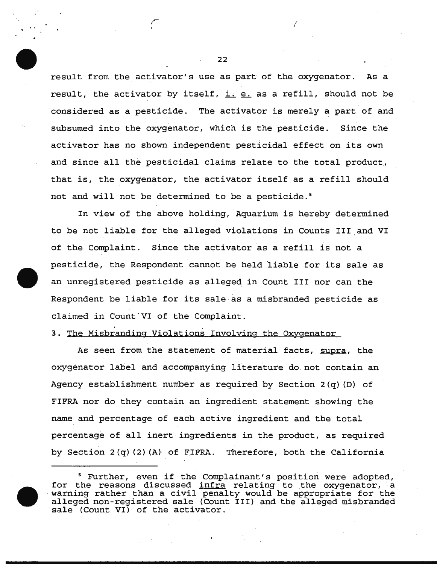result from the activator's use as part of the oxygenator. As a result, the activator by itself,  $i.$  e. as a refill, should not be considered as a pesticide. The activator is merely a part of and subsumed into the oxygenator, which is the pesticide. Since the activator has no shown independent pesticidal effect on its own and since all the pesticidal claims relate to the total product., that is, the oxygenator, the activator itself as a refill should not and will not be determined to be a pesticide. <sup>5</sup>

In view of the above holding, Aquarium is hereby determined to be not liable for the alleged violations in Counts III and VI of the Complaint. Since the activator as a refill is not a pesticide, the Respondent cannot be held liable for its sale as an unregistered pesticide as alleged in Count III nor can the Respondent be liable for its sale as a misbranded pesticide as claimed in Count'VI of the Complaint.

3. The Misbranding Violations Involving the Oxygenator

As seen from the statement of material facts, supra, the oxygenator label and accompanying literature do not contain an Agency establishment number as required by Section 2(q) (D) of FIFRA nor do they contain an ingredient statement showing the name and percentage of each active ingredient and the total percentage of all inert ingredients in the product, as required by Section  $2(q)(2)$  (A) of FIFRA. Therefore, both the California

22

(

''

<sup>5</sup> Further, even if the Complainant's position were adopted, for the reasons discussed <u>infra</u> relating to the oxygenator, a For the reasons discussed <u>finite</u> relating to the oxygenator, a alleged non-registered sale (Count III) and the alleged misbranded sale (Count VI) of the activator.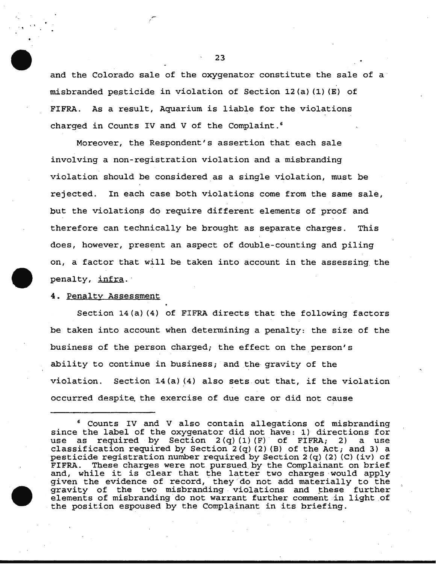and the Colorado sale of the oxygenator constitute the sale of a  $misbranded$  pesticide in violation of Section 12(a)(1)(E) of FIFRA. As a result, Aquarium is liable for the violations charged in Counts IV and V of the Complaint. <sup>6</sup>

Moreover, the Respondent's assertion that each sale involving a non-registration violation and a misbranding violation should be considered as a single violation, must be rejected. In each case both violations come from the same sale, but the violations do require different elements of proof and therefore can technically be brought as separate charges. This does, however, present an aspect of double-counting and piling on, a factor that will be taken into account in the assessing the penalty, infra.

### 4. Penalty Assessment

 $\cdot$   $\cdot$ 

Section 14(a) (4) of FIFRA directs that the following factors be taken into account when determining a penalty: the size of the business of the person charged; the effect on the person's ability to continue in business; and the gravity of the violation. Section  $14(a)$   $(4)$  also sets out that, if the violation occurred despite. the exercise of due care or did not cause

<sup>6</sup> Counts IV and V also contain allegations of misbranding since the label of the oxygenator did not have: 1) directions for<br>use as required by Section 2(q)(1)(F) of FIFRA; 2) a use use as required by Section  $2(q)$  (1) (F) of FIFRA; 2) classification required by Section  $2(q)$  (2) (B) of the Act; and 3) a pesticide registration number required by Section  $2(q)$  (2) (C) (iv) of FIFRA. These charges were not pursued by the Complainant on brief FIFRA. These charges were not pursued by the Complainant on brief<br>and, while it is clear that the latter two charges would apply given the evidence of record, they 'do not add materially to the gravity of the two misbranding violations and these further elements of misbranding do not warrant further comment in light of the position espoused by the Complainant in its briefing.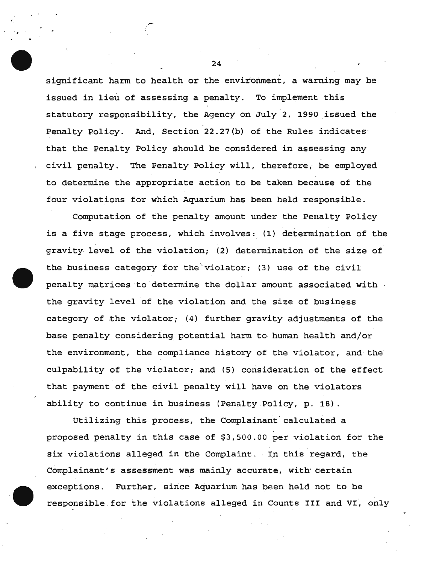significant harm to health or the environment, a warning may be issued in lieu of assessing a penalty. To implement this statutory responsibility, the Agency on July 2, 1990 issued the Penalty Policy. And, Section 22.27(b) of the Rules indicates· that the Penalty Policy should be considered in assessing any civil penalty. The Penalty Policy will, therefore, be employed to determine the appropriate action to be taken because of the four violations for which Aquarium has been held responsible.

Computation of the penalty amount under the Penalty Policy is a five stage process, which involves: (1) determination of the gravity. level of the violation; (2) determination of the size of the business category for the violator; (3) use of the civil penalty matrices to determine the dollar amount associated with the gravity level of the violation and the size of business category of the violator; (4) further gravity adjustments of the base penalty considering potential harm to human health and/or the environment, the compliance history of the violator, and the culpability of the violator; and (5) consideration of the effect that payment of the civil penalty will have on the violators ability to continue in business (Penalty Policy, p. 18).

Utilizing this process, the Complainant calculated a proposed penalty in this case of \$3,500.00 per violation for the six violations alleged in the Complaint. In this regard, the Complainant's assessment was mainly accurate, with certain exceptions. Further, since Aquarium has been held not to be responsible for the violations alleged in Counts III and VI, only

24

'·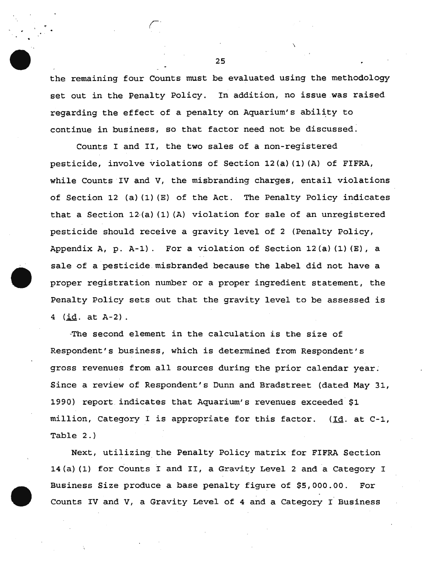the remaining four Counts must be evaluated using the methodology set out in the Penalty Policy. In addition, no issue was raised regarding the effect of a penalty on Aquarium's ability to continue in business, so that factor need not be discussed.

Counts I and II, the two sales of a non-registered pesticide, involve violations of Section 12(a) (1) (A) of FIFRA, while Counts IV and V, the misbranding charges, entail violations of Section 12 (a) (1) (E) of the Act. The Penalty Policy indicates that a Section 12·(a) (1) (A) violation for sale of an unregistered pesticide should receive a gravity level of 2 (Penalty Policy, Appendix A, p. A-1). For a violation of Section 12(a)(1)(E), a sale of a pesticide misbranded because the label did not have a proper registration number or a proper ingredient statement, the Penalty Policy sets out that the gravity level to be assessed is 4  $(*id* . at A-2)$ .

-The second element in the calculation is the size of Respondent's business, which is determined from Respondent's gross revenues from all sources during the prior calendar year. Since a review of Respondent's Dunn and Bradstreet (dated May 31, 1990) report indicates that Aquarium's revenues exceeded \$1 million, Category I is appropriate for this factor. (Id. at C-1, Table 2.)

Next, utilizing. the Penalty Policy matrix for FIFRA Section 14(a) (1) for Counts I and II, a Gravity Level 2 and a Category I Business Size produce a base penalty figure of \$5,000.00. For Counts IV and V, a Gravity Level of 4 and a Category I Business

25

\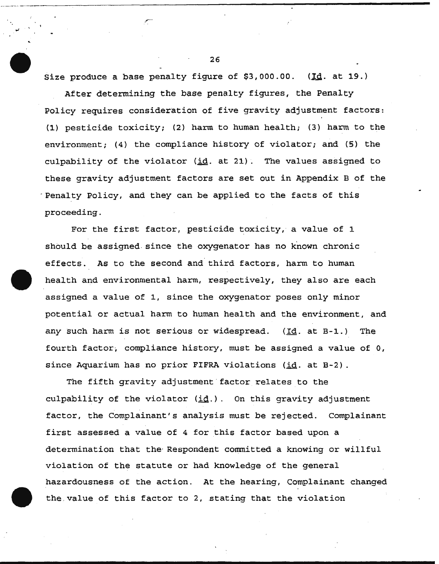Size produce a base penalty figure of \$3,000.00. (Id. at 19.)

\_,.-

After determining the base penalty figures, the Penalty Policy requires consideration of five gravity adjustment factors: (1) pesticide toxicity; (2) harm to human health; (3) harm to the environment; (4) the compliance history of violator; and (5) the culpability of the violator (id. at 21). The values assigned to these gravity adjustment factors are set out in Appendix B of the Penalty Policy, and they can be applied to the facts of this proceeding.

For the first factor, pesticide toxicity, a value of 1 should be assigned. since the oxygenator has no known chronic effects. As to the second and third factors, harm to human health and environmental harm, respectively, they also are each assigned a value of 1, since the oxygenator poses only minor potential or actual harm to human health and the environment, and any such harm is not serious or widespread. (Id. at B-1.) The fourth factor, compliance history, must be assigned a value of 0, since Aquarium has no prior FIFRA violations (id. at B-2).

The fifth gravity adjustment factor relates to the culpability of the violator  $(i_d)$ . On this gravity adjustment factor, the Complainant's analysis must be rejected. Complainant first assessed a value of 4 for this factor based upon a determination that the· Respondent committed a knowing or willful violation of the statute or had knowledge of the general hazardousness of the action. At the hearing, Complainant changed the value of this factor to 2, stating that the violation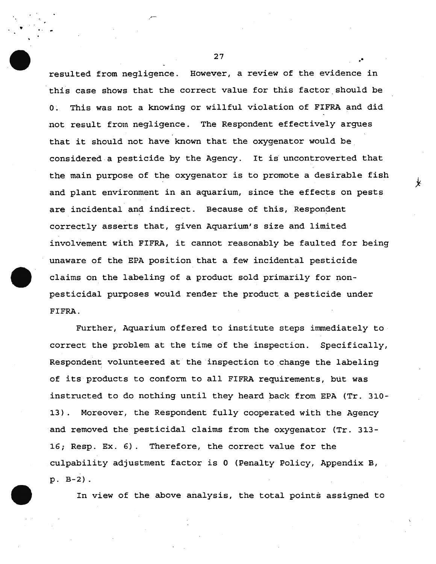resulted from negligence. However, a review of the evidence in this case shows that the correct value for this factor should be 0~ This was not a knowing or willful violation of FIFRA and did not result from negligence. The Respondent effectively argues that it should not have known that the oxygenator would be. considered a pesticide by the Agency. It is uncontroverted that the main purpose of the oxygenator is to promote a desirable fish and plant environment in an aquarium, since the effects on pests are incidental and indirect. Because of this, Respondent correctly asserts that, given Aquarium's size and limited involvement with FIFRA, it cannot reasonably be faulted for being unaware of the EPA position that a few incidental pesticide claims on the labeling of a product sold primarily for nonpesticidal purposes would render the product a pesticide under FIFRA.

Further, Aquarium offered to institute steps immediately to correct the problem at the time of the inspection. Specifically, Respondent volunteered at the inspection to change the labeling of its products to conform to all FIFRA requirements, but was instructed to do nothing until they heard back from EPA (Tr. 310- 13). Moreover, the Respondent fully cooperated with the Agency and removed the pesticidal claims from the oxygenator (Tr. 313- 16; Resp. Ex. 6). Therefore, the correct value for the culpability adjustment factor is 0 (Penalty Policy, Appendix B, p.B-2).

In view of the above analysis, the total points assigned to

 $27$  . The contract of  $\mathcal{L}$ 

•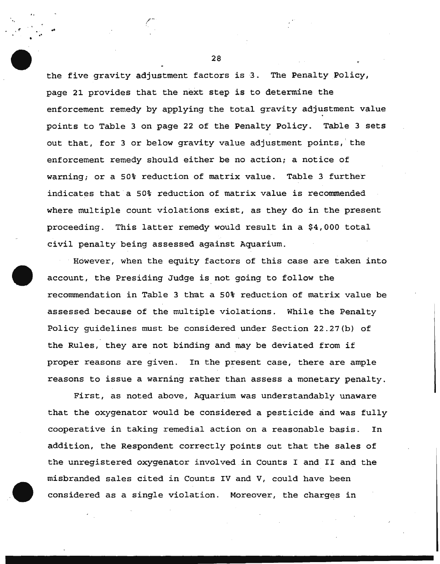the five gravity adjustment factors is 3. The Penalty Policy, page 21 provides that the next step is to determine the enforcement remedy by applying the total gravity adjustment value points to Table 3 on page 22 of the Penalty Policy. Table 3 sets out that, for 3 or below gravity value adjustment points, ' the enforcement remedy should either be no action; a notice of warning; or a SO% reduction of matrix value. Table 3 further indicates that a 50% reduction of matrix value is recommended where multiple count violations exist, as they do in the present proceeding. This latter remedy would result in a \$4,000 total civil penalty being assessed against Aquarium.

However, when the equity factors of this case are taken into account, the Presiding Judge is not going to follow the recommendation in Table 3 that a 50% reduction of matrix value be assessed because of the multiple violations. While the Penalty Policy guidelines must be considered under Section 22.27(b) of the Rules, they are not binding and may be deviated from if proper reasons are given. In the present case, there are ample reasons to issue a warning rather than assess a monetary penalty.

First, as noted above, Aquarium was understandably unaware that the oxygenator would be considered a pesticide and was fully cooperative in taking remedial action on a reasonable basis. In addition, the Respondent correctly points out that the sales of the unregistered oxygenator involved in Counts I and II and the misbranded sales cited in Counts IV and V, could have been considered as a single violation. Moreover, the charges in

28

•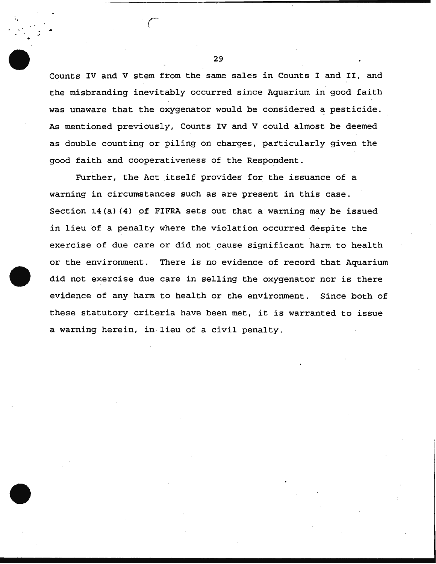Counts IV and V stem from the same sales in Counts I and II, and the misbranding inevitably occurred since Aquarium in good faith was unaware that the oxygenator would be considered a pesticide. As mentioned previously, Counts IV and V could almost be deemed as double counting or piling on charges, particularly given the good faith and cooperativeness of the Respondent.

Further, the Act itself provides for the issuance of a warning in circumstances such as are present in this case. Section  $14(a)$  (4) of FIFRA sets out that a warning may be issued in lieu of a penalty where the violation occurred despite the exercise of due care or did not cause significant harm to health or the environment. There is no evidence of record that Aquarium did not exercise due care in selling the oxygenator nor is there evidence of any harm to health or the environment. Since both of these statutory criteria have been met, it is warranted to issue a warning herein, in.lieu of a civil penalty.

29

.,  $\mathbb{R}$  • .. - <sup>r</sup>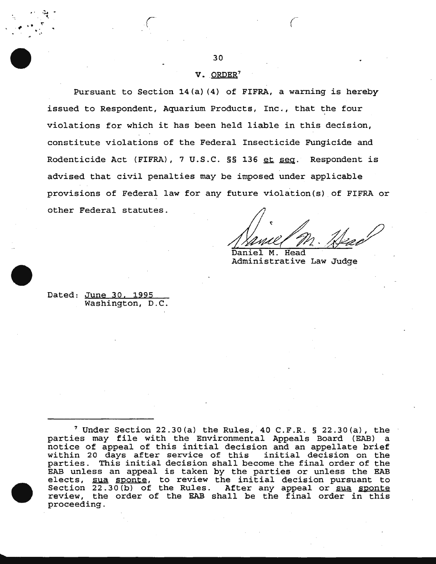# $V.$  ORDER<sup>7</sup>

Pursuant to Section 14(a) (4) of FIFRA, a warning is hereby issued to Respondent, Aquarium Products, Inc., that the four violations for which it has been held liable in this decision, constitute violations of the Federal Insecticide Fungicide and Rodenticide Act (FIFRA), 7 U.S.C. §§ 136 et seq. Respondent is advised that civil penalties may be imposed under applicable provisions of Federal law for any future violation(s) of FIFRA or other Federal statutes.

future violation(s) of FIFRA or<br>
1. Ann March 1997<br>
Daniel M. Head

Daniel M. Head Administrative Law Judge

Dated: June 30. 1995 Washington, D.C.

, . <sup>~</sup>...

 $\mathcal{L}$  respectively.  $\sum_{i=1}^{n}$ 

 $7$  Under Section 22.30(a) the Rules, 40 C.F.R. § 22.30(a), the parties may file with the Environmental Appeals Board (EAB) a notice of appeal of this initial decision and an appellate brief within 20 days after service of this initial decision on the within 20 days after service of this "initial decision on the<br>parties. This initial decision shall become the final order of the EAB unless an appeal is taken by the parties or unless the EAB EAB unless an appeal is taken by the parties or unless the EAB<br>elects, <u>sua sponte,</u> to review the initial decision pursuant to Section 22.30(b) of the Rules. After any appeal or sua sponte review, the order of the EAB shall be the final order in this proceeding.